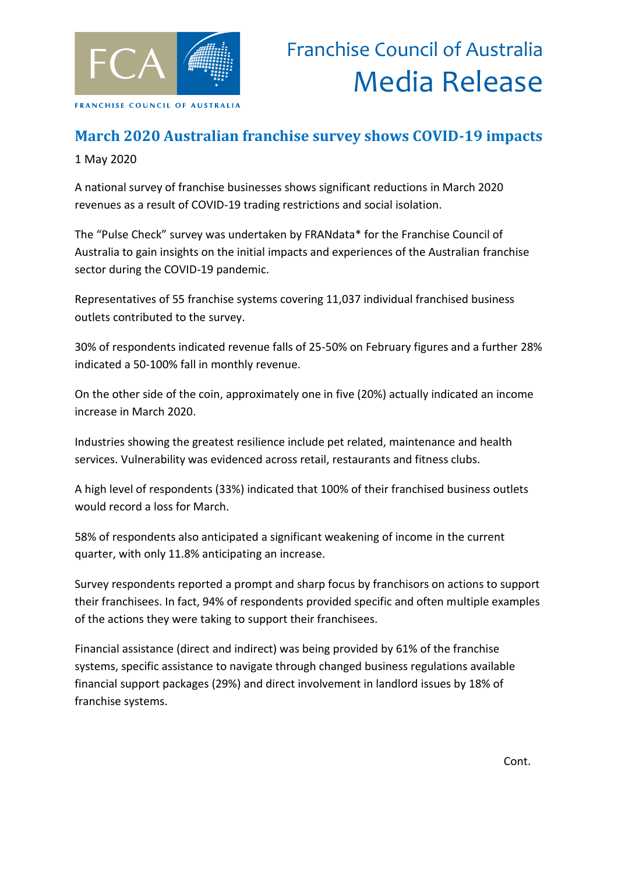

## **March 2020 Australian franchise survey shows COVID-19 impacts**

1 May 2020

A national survey of franchise businesses shows significant reductions in March 2020 revenues as a result of COVID-19 trading restrictions and social isolation.

The "Pulse Check" survey was undertaken by FRANdata\* for the Franchise Council of Australia to gain insights on the initial impacts and experiences of the Australian franchise sector during the COVID-19 pandemic.

Representatives of 55 franchise systems covering 11,037 individual franchised business outlets contributed to the survey.

30% of respondents indicated revenue falls of 25-50% on February figures and a further 28% indicated a 50-100% fall in monthly revenue.

On the other side of the coin, approximately one in five (20%) actually indicated an income increase in March 2020.

Industries showing the greatest resilience include pet related, maintenance and health services. Vulnerability was evidenced across retail, restaurants and fitness clubs.

A high level of respondents (33%) indicated that 100% of their franchised business outlets would record a loss for March.

58% of respondents also anticipated a significant weakening of income in the current quarter, with only 11.8% anticipating an increase.

Survey respondents reported a prompt and sharp focus by franchisors on actions to support their franchisees. In fact, 94% of respondents provided specific and often multiple examples of the actions they were taking to support their franchisees.

Financial assistance (direct and indirect) was being provided by 61% of the franchise systems, specific assistance to navigate through changed business regulations available financial support packages (29%) and direct involvement in landlord issues by 18% of franchise systems.